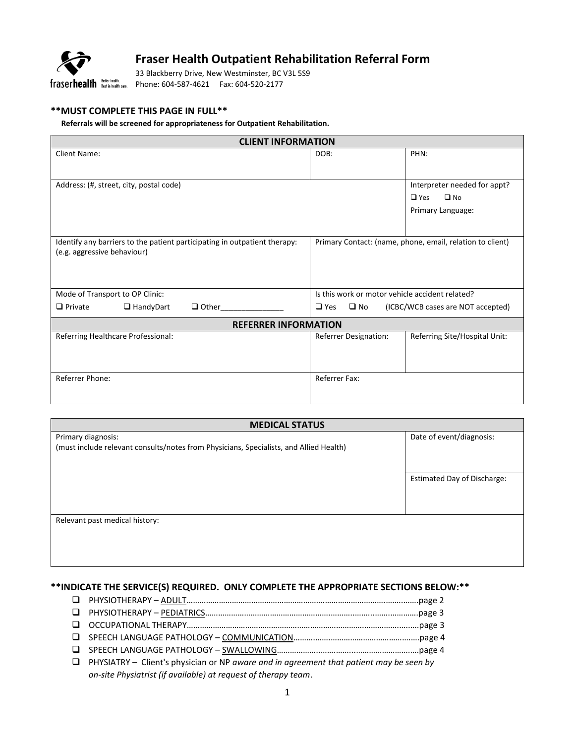

### **Fraser Health Outpatient Rehabilitation Referral Form**

33 Blackberry Drive, New Westminster, BC V3L 5S9 Phone: 604-587-4621 Fax: 604-520-2177

#### **\*\*MUST COMPLETE THIS PAGE IN FULL\*\***

#### **Referrals will be screened for appropriateness for Outpatient Rehabilitation.**

| <b>CLIENT INFORMATION</b>                                                 |                                                                 |                                                           |  |  |  |  |  |
|---------------------------------------------------------------------------|-----------------------------------------------------------------|-----------------------------------------------------------|--|--|--|--|--|
| <b>Client Name:</b>                                                       | DOB:                                                            | PHN:                                                      |  |  |  |  |  |
|                                                                           |                                                                 |                                                           |  |  |  |  |  |
| Address: (#, street, city, postal code)                                   |                                                                 | Interpreter needed for appt?                              |  |  |  |  |  |
|                                                                           |                                                                 | $\square$ No<br>$\Box$ Yes                                |  |  |  |  |  |
|                                                                           |                                                                 | Primary Language:                                         |  |  |  |  |  |
|                                                                           |                                                                 |                                                           |  |  |  |  |  |
| Identify any barriers to the patient participating in outpatient therapy: |                                                                 | Primary Contact: (name, phone, email, relation to client) |  |  |  |  |  |
| (e.g. aggressive behaviour)                                               |                                                                 |                                                           |  |  |  |  |  |
|                                                                           |                                                                 |                                                           |  |  |  |  |  |
|                                                                           |                                                                 |                                                           |  |  |  |  |  |
| Mode of Transport to OP Clinic:                                           | Is this work or motor vehicle accident related?                 |                                                           |  |  |  |  |  |
| $\Box$ Private<br>$\Box$ HandyDart<br>$\Box$ Other                        | $\Box$ Yes<br>$\square$ No<br>(ICBC/WCB cases are NOT accepted) |                                                           |  |  |  |  |  |
| <b>REFERRER INFORMATION</b>                                               |                                                                 |                                                           |  |  |  |  |  |
| Referring Healthcare Professional:                                        | <b>Referrer Designation:</b>                                    | Referring Site/Hospital Unit:                             |  |  |  |  |  |
|                                                                           |                                                                 |                                                           |  |  |  |  |  |
|                                                                           |                                                                 |                                                           |  |  |  |  |  |
| Referrer Phone:                                                           | Referrer Fax:                                                   |                                                           |  |  |  |  |  |
|                                                                           |                                                                 |                                                           |  |  |  |  |  |
|                                                                           |                                                                 |                                                           |  |  |  |  |  |

| <b>MEDICAL STATUS</b>                                                                  |                                    |  |  |  |
|----------------------------------------------------------------------------------------|------------------------------------|--|--|--|
| Primary diagnosis:                                                                     | Date of event/diagnosis:           |  |  |  |
| (must include relevant consults/notes from Physicians, Specialists, and Allied Health) |                                    |  |  |  |
|                                                                                        |                                    |  |  |  |
|                                                                                        | <b>Estimated Day of Discharge:</b> |  |  |  |
|                                                                                        |                                    |  |  |  |
|                                                                                        |                                    |  |  |  |
|                                                                                        |                                    |  |  |  |
| Relevant past medical history:                                                         |                                    |  |  |  |
|                                                                                        |                                    |  |  |  |
|                                                                                        |                                    |  |  |  |
|                                                                                        |                                    |  |  |  |
|                                                                                        |                                    |  |  |  |

### **\*\*INDICATE THE SERVICE(S) REQUIRED. ONLY COMPLETE THE APPROPRIATE SECTIONS BELOW:\*\***

- PHYSIOTHERAPY ADULT……………………………………………………….……………………….……..…….page 2 PHYSIOTHERAPY – PEDIATRICS………………………………………………….………..……...…….………….page 3
- OCCUPATIONAL THERAPY……………………………………………………………………….…………….…..….page 3
- SPEECH LANGUAGE PATHOLOGY COMMUNICATION……….…….……………………………….….page 4
- SPEECH LANGUAGE PATHOLOGY SWALLOWING………………..…….……...…………………….….page 4
- PHYSIATRY Client's physician or NP *aware and in agreement that patient may be seen by on-site Physiatrist (if available) at request of therapy team*.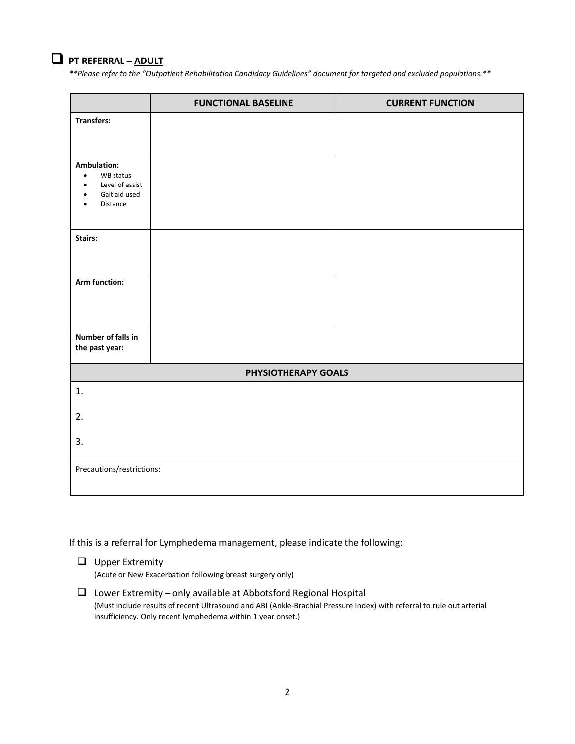

## **PT REFERRAL – ADULT**

*\*\*Please refer to the "Outpatient Rehabilitation Candidacy Guidelines" document for targeted and excluded populations.\*\**

|                                                                                                    | <b>FUNCTIONAL BASELINE</b> | <b>CURRENT FUNCTION</b> |
|----------------------------------------------------------------------------------------------------|----------------------------|-------------------------|
| <b>Transfers:</b>                                                                                  |                            |                         |
| Ambulation:<br>WB status<br>$\bullet$<br>Level of assist<br>$\bullet$<br>Gait aid used<br>Distance |                            |                         |
| Stairs:                                                                                            |                            |                         |
| Arm function:                                                                                      |                            |                         |
| Number of falls in<br>the past year:                                                               |                            |                         |
|                                                                                                    | PHYSIOTHERAPY GOALS        |                         |
| 1.                                                                                                 |                            |                         |
| 2.                                                                                                 |                            |                         |
| 3.                                                                                                 |                            |                         |
| Precautions/restrictions:                                                                          |                            |                         |

If this is a referral for Lymphedema management, please indicate the following:

 $\Box$  Upper Extremity (Acute or New Exacerbation following breast surgery only)

 $\Box$  Lower Extremity – only available at Abbotsford Regional Hospital (Must include results of recent Ultrasound and ABI (Ankle-Brachial Pressure Index) with referral to rule out arterial insufficiency. Only recent lymphedema within 1 year onset.)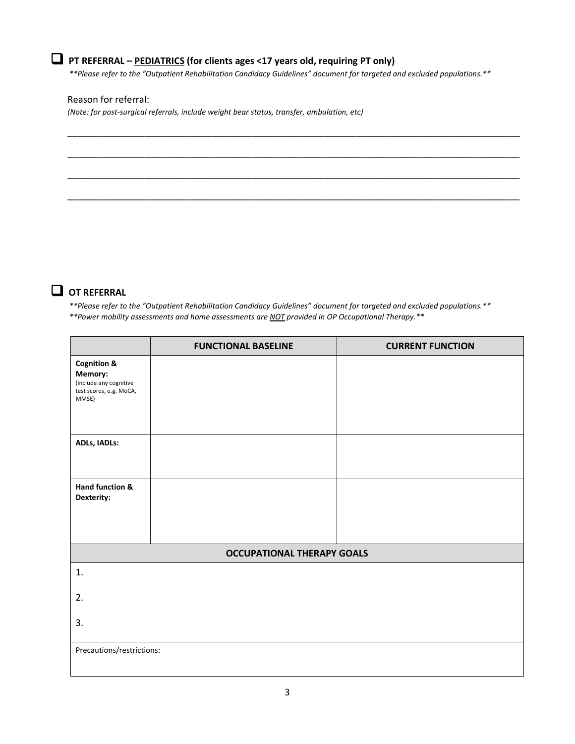# **PT REFERRAL – PEDIATRICS (for clients ages <17 years old, requiring PT only)**

*\*\*Please refer to the "Outpatient Rehabilitation Candidacy Guidelines" document for targeted and excluded populations.\*\**

\_\_\_\_\_\_\_\_\_\_\_\_\_\_\_\_\_\_\_\_\_\_\_\_\_\_\_\_\_\_\_\_\_\_\_\_\_\_\_\_\_\_\_\_\_\_\_\_\_\_\_\_\_\_\_\_\_\_\_\_\_\_\_\_\_\_\_\_\_\_\_\_\_\_\_\_\_\_\_\_\_\_\_\_\_\_\_\_

\_\_\_\_\_\_\_\_\_\_\_\_\_\_\_\_\_\_\_\_\_\_\_\_\_\_\_\_\_\_\_\_\_\_\_\_\_\_\_\_\_\_\_\_\_\_\_\_\_\_\_\_\_\_\_\_\_\_\_\_\_\_\_\_\_\_\_\_\_\_\_\_\_\_\_\_\_\_\_\_\_\_\_\_\_\_\_\_

\_\_\_\_\_\_\_\_\_\_\_\_\_\_\_\_\_\_\_\_\_\_\_\_\_\_\_\_\_\_\_\_\_\_\_\_\_\_\_\_\_\_\_\_\_\_\_\_\_\_\_\_\_\_\_\_\_\_\_\_\_\_\_\_\_\_\_\_\_\_\_\_\_\_\_\_\_\_\_\_\_\_\_\_\_\_\_\_

\_\_\_\_\_\_\_\_\_\_\_\_\_\_\_\_\_\_\_\_\_\_\_\_\_\_\_\_\_\_\_\_\_\_\_\_\_\_\_\_\_\_\_\_\_\_\_\_\_\_\_\_\_\_\_\_\_\_\_\_\_\_\_\_\_\_\_\_\_\_\_\_\_\_\_\_\_\_\_\_\_\_\_\_\_\_\_\_

### Reason for referral:

*(Note: for post-surgical referrals, include weight bear status, transfer, ambulation, etc)*



*\*\*Please refer to the "Outpatient Rehabilitation Candidacy Guidelines" document for targeted and excluded populations.\*\**

|  |  | **Power mobility assessments and home assessments are <u>NOT</u> provided in OP Occupational Therapy.** |  |  |  |  |  |  |  |  |
|--|--|---------------------------------------------------------------------------------------------------------|--|--|--|--|--|--|--|--|
|--|--|---------------------------------------------------------------------------------------------------------|--|--|--|--|--|--|--|--|

|                                                                                                 | <b>FUNCTIONAL BASELINE</b> | <b>CURRENT FUNCTION</b> |  |  |  |  |  |
|-------------------------------------------------------------------------------------------------|----------------------------|-------------------------|--|--|--|--|--|
| <b>Cognition &amp;</b><br>Memory:<br>(include any cognitive<br>test scores, e.g. MoCA,<br>MMSE) |                            |                         |  |  |  |  |  |
| ADLs, IADLs:                                                                                    |                            |                         |  |  |  |  |  |
| Hand function &<br>Dexterity:                                                                   |                            |                         |  |  |  |  |  |
| <b>OCCUPATIONAL THERAPY GOALS</b>                                                               |                            |                         |  |  |  |  |  |
| 1.                                                                                              |                            |                         |  |  |  |  |  |
| 2.                                                                                              |                            |                         |  |  |  |  |  |
| 3.                                                                                              |                            |                         |  |  |  |  |  |
| Precautions/restrictions:                                                                       |                            |                         |  |  |  |  |  |